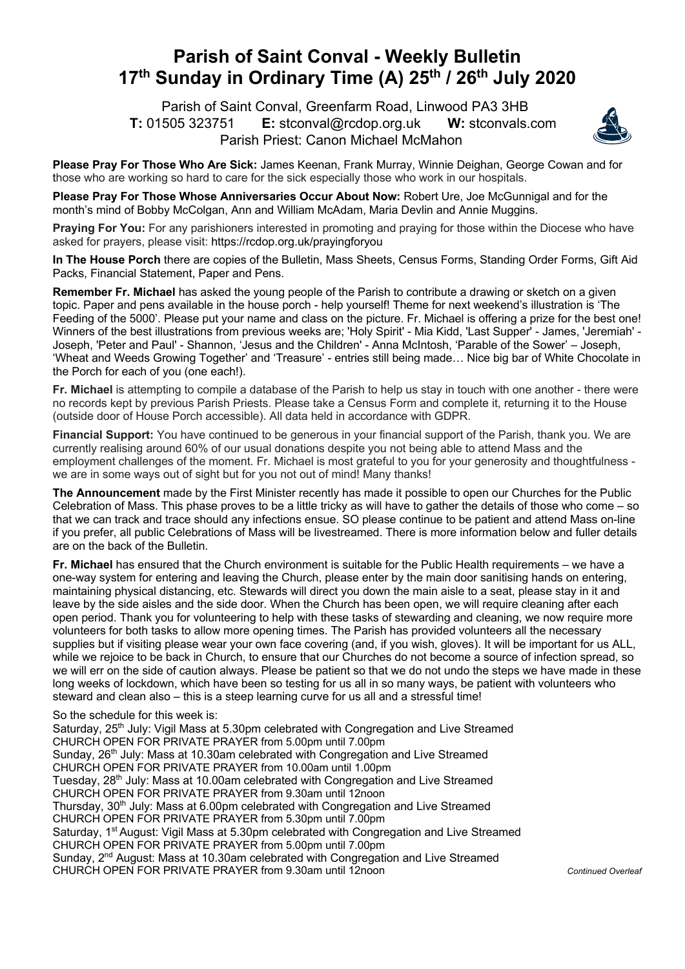## **Parish of Saint Conval - Weekly Bulletin 17th Sunday in Ordinary Time (A) 25th / 26th July 2020**

 Parish of Saint Conval, Greenfarm Road, Linwood PA3 3HB **T:** 01505 323751 **E:** stconval@rcdop.org.uk **W:** stconvals.com Parish Priest: Canon Michael McMahon



**Please Pray For Those Who Are Sick:** James Keenan, Frank Murray, Winnie Deighan, George Cowan and for those who are working so hard to care for the sick especially those who work in our hospitals.

**Please Pray For Those Whose Anniversaries Occur About Now:** Robert Ure, Joe McGunnigal and for the month's mind of Bobby McColgan, Ann and William McAdam, Maria Devlin and Annie Muggins.

**Praying For You:** For any parishioners interested in promoting and praying for those within the Diocese who have asked for prayers, please visit: https://rcdop.org.uk/prayingforyou

**In The House Porch** there are copies of the Bulletin, Mass Sheets, Census Forms, Standing Order Forms, Gift Aid Packs, Financial Statement, Paper and Pens.

**Remember Fr. Michael** has asked the young people of the Parish to contribute a drawing or sketch on a given topic. Paper and pens available in the house porch - help yourself! Theme for next weekend's illustration is 'The Feeding of the 5000'. Please put your name and class on the picture. Fr. Michael is offering a prize for the best one! Winners of the best illustrations from previous weeks are; 'Holy Spirit' - Mia Kidd, 'Last Supper' - James, 'Jeremiah' - Joseph, 'Peter and Paul' - Shannon, 'Jesus and the Children' - Anna McIntosh, 'Parable of the Sower' – Joseph, 'Wheat and Weeds Growing Together' and 'Treasure' - entries still being made… Nice big bar of White Chocolate in the Porch for each of you (one each!).

**Fr. Michael** is attempting to compile a database of the Parish to help us stay in touch with one another - there were no records kept by previous Parish Priests. Please take a Census Form and complete it, returning it to the House (outside door of House Porch accessible). All data held in accordance with GDPR.

**Financial Support:** You have continued to be generous in your financial support of the Parish, thank you. We are currently realising around 60% of our usual donations despite you not being able to attend Mass and the employment challenges of the moment. Fr. Michael is most grateful to you for your generosity and thoughtfulness we are in some ways out of sight but for you not out of mind! Many thanks!

**The Announcement** made by the First Minister recently has made it possible to open our Churches for the Public Celebration of Mass. This phase proves to be a little tricky as will have to gather the details of those who come – so that we can track and trace should any infections ensue. SO please continue to be patient and attend Mass on-line if you prefer, all public Celebrations of Mass will be livestreamed. There is more information below and fuller details are on the back of the Bulletin.

**Fr. Michael** has ensured that the Church environment is suitable for the Public Health requirements – we have a one-way system for entering and leaving the Church, please enter by the main door sanitising hands on entering, maintaining physical distancing, etc. Stewards will direct you down the main aisle to a seat, please stay in it and leave by the side aisles and the side door. When the Church has been open, we will require cleaning after each open period. Thank you for volunteering to help with these tasks of stewarding and cleaning, we now require more volunteers for both tasks to allow more opening times. The Parish has provided volunteers all the necessary supplies but if visiting please wear your own face covering (and, if you wish, gloves). It will be important for us ALL, while we rejoice to be back in Church, to ensure that our Churches do not become a source of infection spread, so we will err on the side of caution always. Please be patient so that we do not undo the steps we have made in these long weeks of lockdown, which have been so testing for us all in so many ways, be patient with volunteers who steward and clean also – this is a steep learning curve for us all and a stressful time!

So the schedule for this week is:

Saturday, 25<sup>th</sup> July: Vigil Mass at 5.30pm celebrated with Congregation and Live Streamed CHURCH OPEN FOR PRIVATE PRAYER from 5.00pm until 7.00pm Sunday, 26<sup>th</sup> July: Mass at 10.30am celebrated with Congregation and Live Streamed CHURCH OPEN FOR PRIVATE PRAYER from 10.00am until 1.00pm Tuesday,  $28<sup>th</sup>$  July: Mass at 10.00am celebrated with Congregation and Live Streamed CHURCH OPEN FOR PRIVATE PRAYER from 9.30am until 12noon Thursday, 30<sup>th</sup> July: Mass at 6.00pm celebrated with Congregation and Live Streamed CHURCH OPEN FOR PRIVATE PRAYER from 5.30pm until 7.00pm Saturday, 1<sup>st</sup> August: Vigil Mass at 5.30pm celebrated with Congregation and Live Streamed CHURCH OPEN FOR PRIVATE PRAYER from 5.00pm until 7.00pm Sunday,  $2^{nd}$  August: Mass at 10.30am celebrated with Congregation and Live Streamed CHURCH OPEN FOR PRIVATE PRAYER from 9.30am until 12noon *Continued Overleaf*